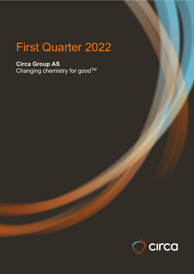# First Quarter 2022

**Circa Group AS** Changing chemistry for good $^{\intercal\mathsf{M}}$ 

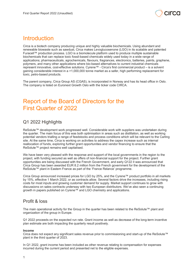

# **Introduction**

Circa is a biotech company producing unique and highly valuable biochemicals. Using abundant and renewable biowaste such as sawdust, Circa makes Levoglucosenone (LGO) in its scalable and patented Furacell™ production process. LGO is a biomolecule platform used to produce multiple sustainable biochemicals that can replace toxic fossil-based chemicals widely used today in a wide range of applications; pharmaceuticals, agrochemicals, flavours, fragrances, electronics, batteries, paints, graphene, polymers, and many other applications where bio-based alternatives to current industrial chemicals represent innovative, cost-effective solutions. Cyrene™ - Circa's first commercial product – is a solvent gaining considerable interest in a >1,000,000 tonne market as a safer, high performing replacement for toxic, petro-based products.

The parent company, Circa Group AS (CGAS), is incorporated in Norway and has its head office in Oslo. The company is listed on Euronext Growth Oslo with the ticker code CIRCA.

# Report of the Board of Directors for the First Quarter of 2022

# Q1 2022 Highlights

ReSolute™ development work progressed well. Considerable work with suppliers was undertaken during the quarter. The main focus of this was both optimisation in areas such as distillation, as well as working potential vendors trialling a range of feedstocks and process conditions which will be relevant to the Carling site. At the same time, Circa is working on activities to address the capex increase such as internal reallocation of funds, exploring further grant opportunities and vendor financing to ensure that the ReSolute™ project remains well capitalised.

We have been very pleased with the response and support of the local governments in the region to the project, with funding secured as well as offers of non-financial support for the project. Further grant opportunities are being discussed with the French Government, and early Q122 it was announced that Circa Group has been awarded EUR 8.2 million from the French government for the development of the ReSolute™ plant in Eastern France as part of the 'France Relance' programme.

Circa Group announced increased prices for LGO by 25%, and the Cyrene™ product portfolio in all markets by 15%, effective 1 March 2022, or as contracts allow. Several factors drive the increases, including rising costs for most inputs and growing customer demand for supply. Market support continues to grow with discussions on sales contracts underway with two European distributors. We've also seen a continuing growth in papers published on Cyrene™ and LGO chemistry and applications.

# Profit & loss

The main operational activity for the Group in the quarter has been related to the ReSolute™ plant and organization of the group in Europe.

Q1 2022 proceeds on the expected run rate. Grant income as well as decrease of the long-term incentive plan estimate are both impacting the quarterly result positively.

### **Income**

Circa does not expect any significant sales revenue prior to commissioning and start-up of the ReSolute™ plant in the third quarter of 2023.

In Q1 2022, grant income has been included as other revenue relating to compensation for expenses incurred during the current period and presented net to the eligible expenses.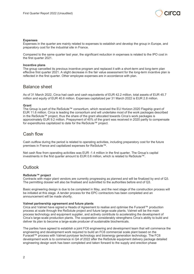

### **Expenses**

Expenses in the quarter are mainly related to expenses to establish and develop the group in Europe, and preparatory cost for the industrial site in France.

Compared to the same quarter last year, the significant reduction in expenses is related to the IPO cost in the first quarter 2021.

#### **Incentive plans**

The group cancelled its previous incentive program and replaced it with a short-term and long-term plan effective first quarter 2021. A slight decrease in the fair value assessment for the long-term incentive plan is reflected in the first quarter. Other employee expenses are in accordance with plan.

### Balance sheet

As of 31 March 2022, Circa had cash and cash equivalents of EUR 42.2 million, total assets of EUR 45.7 million and equity of EUR 40.6 million. Expenses capitalized per 31 March 2022 is EUR 2.8 million.

#### **Grant**

The Group is part of the ReSolute™ consortium, which received the EU Horizon 2020 Flagship grant of EUR 11.6 million. Circa is leading the consortium and will undertake most of the work packages described in the ReSolute™ project, thus the share of the grant allocated towards Circa's work packages is approximately EUR 9.2 million. Prepayment of 45% of the grant was received in 2020 partly to compensate for expenditures capitalized to date for the ReSolute™ project.

### Cash flow

Cash outflow during the period is related to operating activities, including preparatory cost for the future premises in France and capitalized expenses for ReSolute™.

Net cash flow from operating activities was EUR -1.4 million in the first quarter. The Group's capital investments in the first quarter amount to EUR 0.6 million, which is related to ReSolute™.

### **Outlook**

#### **ReSolute™ project**

Contracts with major plant vendors are currently progressing as planned and will be finalized by end of Q3. The permitting dossier will also be finalised and submitted to the authorities before end of Q3.

Basic engineering design is due to be completed in May, and the next stage of the construction process will be initiated at this stage. A tender process for the EPC contractors has been completed and an announcement will be made shortly.

#### **Valmet partnership agreement and future plants**

Circa and Valmet have signed a Heads of Agreement to realise and optimise the Furacell™ production process at scale through the ReSolute project and future large-scale plants. Valmet will be the main process technology and equipment supplier, and actively contribute to accelerating the development of Circa's large-scale production plants. The cooperation considerably strengthens Circa's ability to build and deliver its plan to become a large-scale producer of sustainable biochemicals.

The parties have agreed to establish a joint FC6 engineering and development team that will commence the engineering and development work required to build an FC6 commercial scale plant based on the Furacell™ process with Valmet pyrolyser technology and bioenergy generation technology. The FC6 development work is to commence in Q4 of 2022 after the ReSolute equipment delivery package detailed engineering design work has been completed and taken forward to the supply and erection phase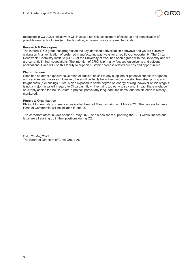

(expected in Q3 2022). Initial work will involve a full risk assessment of scale up and identification of possible new technologies (e.g. fractionation, accessing waste stream chemicals).

### **Research & Development**

The internal R&D group has progressed the key identified derivatisation pathways and we are currently waiting on final verification of preferred manufacturing pathways for a key flavour opportunity. The Circa Renewable Chemistry Institute (CRCI) at the University of York has been agreed with the University and we are currently in final negotiations. The intention of CRCI is primarily focused on solvents and solvent applications. Circa will use this facility to support customer process related queries and opportunities.

### **War in Ukraine**

Circa has no direct exposure to Ukraine or Russia, no link to any suppliers or potential suppliers of goods and services and no sales. However, there will probably be indirect impact on stainless steel pricing and freight costs (fuel pricing). Circa is also exposed to some degree on energy pricing, however at this stage it is not a major factor with regard to Circa cash flow. It remains too early to say what impact there might be on supply chains for the ReSolute™ project, particularly long lead time items, and the situation is closely monitored.

#### **People & Organization**

Philipp Morgenthaler commenced as Global Head of Manufacturing on 1 May 2022. The process to hire a Head of Commercial will be initiated in end Q2.

The corporate office in Oslo opened 1 May 2022, and a new team supporting the CFO within finance and legal are all starting up in their positions during Q2.

Oslo, 23 May 2022 The Board of Directors of Circa Group AS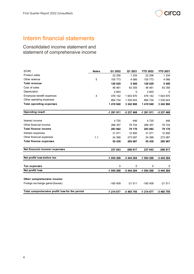

# Interim financial statements

Consolidated income statement and statement of comprehensive income

| (EUR)                                           | <b>Notes</b>   | Q1 2022    | Q1 2021    | <b>YTD 2022</b> | <b>YTD 2021</b> |
|-------------------------------------------------|----------------|------------|------------|-----------------|-----------------|
| <b>Product sales</b>                            |                | 22 25 6    | 1 3 3 4    | 22 25 6         | 1 3 3 4         |
| Other revenue                                   | 5              | 105 773    | 4 0 6 6    | 105 773         | 4 0 6 6         |
| <b>Total revenue</b>                            |                | 128 029    | 5 4 0 0    | 128 029         | 5 4 0 0         |
| Cost of sales                                   |                | 46 461     | 63 355     | 46 461          | 63 355          |
| Depreciaton                                     |                | 2 603      | 0          | 2 603           | $\mathbf 0$     |
| Employee benefit expenses                       | $\overline{4}$ | 476 142    | 1 643 870  | 476 142         | 1 643 870       |
| Other operating expenses                        |                | 894 734    | 1 535 643  | 894 734         | 1 535 643       |
| <b>Total operating expenses</b>                 |                | 1 419 940  | 3 242 868  | 1 419 940       | 3 242 868       |
| <b>Operating result</b>                         |                | -1 291 911 | -3 237 468 | -1 291 911      | -3 237 468      |
|                                                 |                |            |            |                 |                 |
| Interest income                                 |                | 4 7 2 5    | 446        | 4 7 2 5         | 446             |
| Other financial income                          |                | 288 357    | 78 724     | 288 357         | 78 724          |
| <b>Total finance income</b>                     |                | 293 082    | 79 170     | 293 082         | 79 170          |
| Interest expenses                               |                | 31 071     | 12 900     | 31 071          | 12 900          |
| Other financial expenses                        | 1.1            | 24 3 68    | 273 087    | 24 3 68         | 273 087         |
| <b>Total finance expenses</b>                   |                | 55 439     | 285 987    | 55 439          | 285 987         |
| Net financial income/ expenses                  |                | 237 643    | $-206817$  | 237 643         | $-206817$       |
| Net profit/ loss before tax                     |                | -1 054 268 | -3 444 284 | -1 054 268      | -3 444 284      |
| Tax expenses                                    |                | $\Omega$   | $\Omega$   | 0               | 0               |
| Net profit/ loss                                |                | -1 054 268 | -3 444 284 | -1 054 268      | -3 444 284      |
|                                                 |                |            |            |                 |                 |
| Other comprehensive income:                     |                |            |            |                 |                 |
| Foreign exchange gains/(losses)                 |                | $-160409$  | $-21511$   | $-160409$       | $-21511$        |
| Total comprehensive profit/ loss for the period |                | -1 214 677 | -3 465 795 | -1 214 677      | -3 465 795      |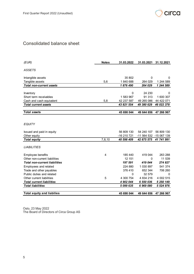

# Consolidated balance sheet

| (EUR)                                | <b>Notes</b>   | 31.03.2022  | 31.03.2021              | 31.12.2021 |
|--------------------------------------|----------------|-------------|-------------------------|------------|
| <b>ASSETS</b>                        |                |             |                         |            |
| Intangible assets                    |                | 35 802      | 0                       | 0          |
| Tangible assets                      | 5,6            | 1840 688    | 264 029                 | 1 244 589  |
| <b>Total non-current assets</b>      |                | 1876490     | 264 029                 | 1 244 589  |
|                                      |                |             |                         |            |
| Inventory                            |                | 0           | 24 230                  | 0          |
| Short term receivables               |                | 1 583 967   | 91 313                  | 1 600 307  |
| Cash and cash equivalent             | 5,8            | 42 237 587  | 49 265 086              | 44 422 071 |
| <b>Total current assets</b>          |                | 43 821 554  | 49 380 629              | 46 022 378 |
|                                      |                |             |                         |            |
| <b>Total assets</b>                  |                | 45 698 044  | 49 644 656              | 47 266 967 |
|                                      |                |             |                         |            |
|                                      |                |             |                         |            |
| <b>EQUITY</b>                        |                |             |                         |            |
|                                      |                |             |                         |            |
| Issued and paid in equity            |                | 56 809 130  | 54 240 107              | 56 809 130 |
| Other equity                         |                | -16 210 721 | -11 564 532 -15 067 139 |            |
| <b>Total equity</b>                  | 7,8,10         | 40 598 409  | 42 675 575              | 41 741 991 |
| <b>LIABILITIES</b>                   |                |             |                         |            |
| Employee benefits                    | $\overline{4}$ | 185 440     | 419 044                 | 263 288    |
| Other non-current liabilities        |                | 12 151      | 0                       | 11 539     |
| <b>Total non-current liabilities</b> |                | 197 591     | 419 044                 | 274 827    |
| Employees and related                |                | 224 880     | 1 030 897               | 541 374    |
| Trade and other payables             |                | 376 410     | 652 344                 | 706 260    |
| Public duties and related            |                | 0           | 32 579                  | 0          |
| Other current liabilities            | 5              | 4 300 754   | 4 834 216               | 4 002 515  |
| <b>Total current liabilities</b>     |                | 4 902 044   | 6 550 036               | 5 250 149  |
| <b>Total liabilities</b>             |                | 5 099 635   | 6 969 080               | 5 524 976  |
|                                      |                |             |                         |            |
| <b>Total equity and liabilies</b>    |                | 45 698 044  | 49 644 656              | 47 266 967 |

Oslo, 23 May 2022 The Board of Directors of Circa Group AS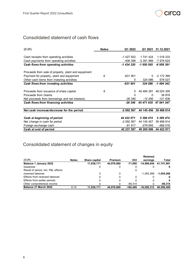

# Consolidated statement of cash flows

| (EUR)                                               | <b>Notes</b> | Q1 2022    | Q1 2021               | 31.12.2021            |
|-----------------------------------------------------|--------------|------------|-----------------------|-----------------------|
|                                                     |              |            |                       |                       |
| Cash receipts from operating activities             |              | -1 027 922 | 1 741 424             | 1 018 233             |
| Cash payments from operating activities             |              | -406 398   | -3 391 989            | -7 976 624            |
| Cash flows from operating activities                |              | -1 434 320 | -1 650 565            | -6 958 391            |
|                                                     |              |            |                       |                       |
| Proceeds from sale of property, plant and equipment |              |            |                       |                       |
| Payment for property, plant and equipment           | 6            | $-631901$  | 0                     | $-2$ 172 369          |
| Other cash items from investing activities          |              | 0          | 324 086               | 678 027               |
| Cash flows from investing activities                |              | $-631901$  | 324 086               | -1 494 342            |
|                                                     |              |            |                       |                       |
| Proceeds from issuance of share capital             | 8            | $\Omega$   |                       | 45 484 391 48 024 305 |
| Proceeds from Grants                                |              | 0          | $\Omega$              | 38 878                |
| Net proceeds from borrowings and net interests      |              | -26 346    | $-12456$              | $-121836$             |
| Cash flows from financing activities                |              | $-26,346$  | 45 471 935 47 941 347 |                       |
|                                                     |              |            |                       |                       |
| Net cash increase/decrease for the period           |              | -2 092 567 | 44 145 456            | 39 488 614            |
|                                                     |              |            |                       |                       |
| Cash at beginning of period                         |              | 44 422 071 | 5 399 474             | 5 399 474             |
| Net change in cash for period                       |              | $-2092567$ | 44 145 457            | 39 488 614            |
| Foreign exchange cash                               |              | -91 917    | -279 845              | -466 016              |
| Cash at end of period                               |              | 42 237 587 | 49 265 086            | 44 422 071            |

# Consolidated statement of changes in equity

|                                     |              |               |                |            | <b>Retained</b>        |              |
|-------------------------------------|--------------|---------------|----------------|------------|------------------------|--------------|
| (EUR)                               | <b>Notes</b> | Share capital | <b>Premium</b> | OCI        | earnings               | Total        |
| Balance 1 January 2022              |              | 11,838,171    | 44.970.960     | $-71.095$  | -14.996.044 41.741.991 |              |
| Issuances                           |              |               |                |            |                        | 0            |
| Result of period, incl. P&L effects |              |               |                |            |                        |              |
| reversed takeover                   |              |               |                |            | $-1.054.268$           | $-1,054,268$ |
| Effects from reversed takeover      |              |               |                |            |                        |              |
| Effects from earlier periods        |              |               |                |            |                        |              |
| Other comprehensive income          |              |               |                | $-89.314$  |                        | $-89.314$    |
| Balance 31 March 2022               | 8.10         | 11,838,171    | 44.970.960     | $-160.409$ | $-16,050,312$          | 40.598.409   |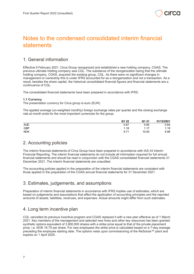

# Notes to the condensed consolidated interim financial statements

# 1. General information

Effective 9 February 2021, Circa Group reorganized and established a new holding company, CGAS. The previous ultimate holding company was CGL. The substance of the reorganization being that the ultimate holding company, CGAS, acquired the existing group, CGL. As there were no significant changes in management or ownership this is under IFRS accounted for as a reorganization and not a transaction. As a result, besides the share capital, the historical consolidated financial figures and financial statements are a continuance of CGL.

The consolidated financial statements have been prepared in accordance with IFRS.

### **1.1 Currency**

The presentation currency for Circa group is euro (EUR).

The applied average (un-weighted monthly) foreign exchange rates per quarter and the closing exchange rate at month ends for the most important currencies for the group:

|            | Q1 22 | Q1 21 | 31/12/2021 |
|------------|-------|-------|------------|
| <b>AUD</b> | 0.67  | 0.65  | 0.64       |
| <b>GBP</b> | 1.18  | 1.17  | 1.19       |
| <b>NOK</b> | 9.71  | 10.00 | 9.99       |

# 2. Accounting policies

The interim financial statements of Circa Group have been prepared in accordance with IAS 34 Interim Financial Reporting. The interim financial statements do not include all information required for full annual financial statements and should be read in conjunction with the CGAS consolidated financial statements 31 December 2021. The interim financial statements are unaudited.

The accounting policies applied in the preparation of the interim financial statements are consistent with those applied in the preparation of the CGAS annual financial statements for 31 December 2021.

# 3. Estimates, judgements, and assumptions

Preparation of interim financial statements in accordance with IFRS implies use of estimates, which are based on judgements and assumptions that affect the application of accounting principles and the reported amounts of assets, liabilities, revenues, and expenses. Actual amounts might differ from such estimates.

### 4. Long term incentive plan

CGL cancelled its previous incentive program and CGAS replaced it with a new plan effective as of 1 March 2021. Key members of the management and selected new hires and other key resources has been granted synthetic options equivalent of 3,900,000 shares with a strike price equal to that of the private placement price, i.e. NOK 16.75 per share. For new employees the strike price is calculated based on a 7-day average preceding the employee starting date. The options vests upon commissioning of the ReSolute™ plant and expires on 1 April 2025.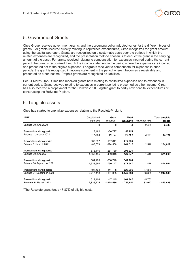

### 5. Government Grants

Circa Group receives government grants, and the accounting policy adopted varies for the different types of grants. For grants received directly relating to capitalized expenditures, Circa recognizes the grant amount using the capital approach. Grants are recognized on a systematic basis over the periods in which the related expenses are recognized, and the presentation method chosen is to deduct the grant in the carrying amount of the asset. For grants received relating to compensation for expenses incurred during the current period, the grant is recognized through the income statement in the period where the expenses are incurred and presented net to the eligible expenses. For grants received to compensate for expenses in prior periods, the grant is recognized in income statement in the period where it becomes a receivable and presented as other income. Prepaid grants are recognized as liabilities.

Per 31 March 2022, Circa has received grants both relating to capitalized expenses and to expenses in current period. Grant received relating to expenses in current period is presented as other income. Circa has also received a prepayment for the Horizon 2020 Flagship grant to partly cover capital expenditures of constructing the ReSolute™ plant.

# 6. Tangible assets

Circa has started to capitalize expenses relating to the Resolute™ plant:

| (EUR)                      | Capaitalized | Grant        | Total           |               | <b>Total tangible</b> |
|----------------------------|--------------|--------------|-----------------|---------------|-----------------------|
|                            | expenses     | received*    | <b>ReSolute</b> | Net other PPE | assets                |
| Balance 30 June 2020       | 0            | 0            | 0               | 2,439         | 2,439                 |
| Transactions during period | 117,482      | -66,727      | 50,755          |               |                       |
| Balance 1 January 2021     | 117,482      | $-66,727$    | 50,755          | 2,441         | 53,196                |
| Transactions during period | 368,597      | $-157,841$   | 210,756         |               |                       |
| Balance 31 March 2021      | 486,079      | $-224,568$   | 261,511         | 2,518         | 264,029               |
| Transactions during period | 573,116      | $-264,780$   | 308,336         |               |                       |
| Balance 30 June 2021       | 1,059,195    | -489.348     | 569,847         | 1,416         | 571,263               |
| Transactions during period | 564,499      | $-260,798$   | 303,700         |               |                       |
| Balance 30 September 2021  | 1,623,694    | $-750, 147$  | 873,547         | 1,416         | 874,964               |
| Transactions during period | 593,424      | $-311,188$   | 282,236         | 87,389        |                       |
| Balance 31 December 2021   | 2,217,118    | $-1.061.335$ | 1,155,783       | 88,805        | 1,244,589             |
| Transactions during period | 619,106      | -17,245      | 601,861         | $-5,762$      |                       |
| Balance 31 March 2022      | 2,836,224    | $-1,078,580$ | 1,757,644       | 83,043        | 1,840,688             |

\*The Resolute grant funds 47,87% of eligible costs.